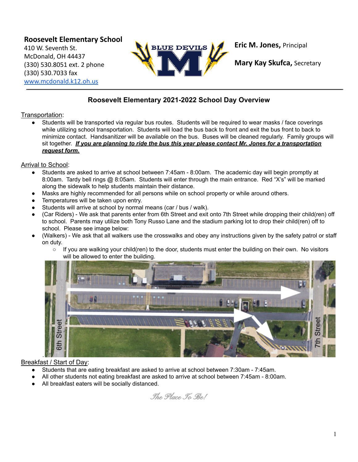**Roosevelt Elementary School** 410 W. Seventh St. McDonald, OH 44437 (330) 530.8051 ext. 2 phone (330) 530.7033 fax [www.mcdonald.k12.oh.us](http://www.mcdonald.k12.oh.us)



**Eric M. Jones,** Principal

**Mary Kay Skufca,** Secretary

# **Roosevelt Elementary 2021-2022 School Day Overview**

## Transportation:

Students will be transported via regular bus routes. Students will be required to wear masks / face coverings while utilizing school transportation. Students will load the bus back to front and exit the bus front to back to minimize contact. Handsanitizer will be available on the bus. Buses will be cleaned regularly. Family groups will sit together. *If you are planning to ride the bus this year please contact Mr. Jones for a transportation request form.*

# Arrival to School:

- Students are asked to arrive at school between 7:45am 8:00am. The academic day will begin promptly at 8:00am. Tardy bell rings @ 8:05am. Students will enter through the main entrance. Red "X's" will be marked along the sidewalk to help students maintain their distance.
- Masks are highly recommended for all persons while on school property or while around others.
- Temperatures will be taken upon entry.
- Students will arrive at school by normal means (car / bus / walk).
- (Car Riders) We ask that parents enter from 6th Street and exit onto 7th Street while dropping their child(ren) off to school. Parents may utilize both Tony Russo Lane and the stadium parking lot to drop their child(ren) off to school. Please see image below:
- (Walkers) We ask that all walkers use the crosswalks and obey any instructions given by the safety patrol or staff on duty.
	- If you are walking your child(ren) to the door, students must enter the building on their own. No visitors will be allowed to enter the building.



## Breakfast / Start of Day:

- Students that are eating breakfast are asked to arrive at school between 7:30am 7:45am.
- All other students not eating breakfast are asked to arrive at school between 7:45am 8:00am.
- All breakfast eaters will be socially distanced.

The Place To Be!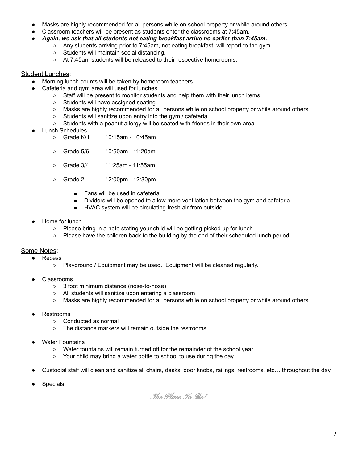- Masks are highly recommended for all persons while on school property or while around others.
- Classroom teachers will be present as students enter the classrooms at 7:45am.
- *Again, we ask that all students not eating breakfast arrive no earlier than 7:45am.*
	- Any students arriving prior to 7:45am, not eating breakfast, will report to the gym.
	- Students will maintain social distancing.
	- At 7:45am students will be released to their respective homerooms.

### Student Lunches:

- Morning lunch counts will be taken by homeroom teachers
- Cafeteria and gym area will used for lunches
	- Staff will be present to monitor students and help them with their lunch items
	- Students will have assigned seating
	- Masks are highly recommended for all persons while on school property or while around others.
	- Students will sanitize upon entry into the gym / cafeteria
	- Students with a peanut allergy will be seated with friends in their own area
- **Lunch Schedules** 
	- Grade K/1 10:15am 10:45am
	- Grade 5/6 10:50am 11:20am
	- Grade 3/4 11:25am 11:55am
	- Grade 2 12:00pm 12:30pm
		- Fans will be used in cafeteria
		- Dividers will be opened to allow more ventilation between the gym and cafeteria
		- HVAC system will be circulating fresh air from outside
- Home for lunch
	- Please bring in a note stating your child will be getting picked up for lunch.
	- Please have the children back to the building by the end of their scheduled lunch period.

#### Some Notes:

● Recess

- Playground / Equipment may be used. Equipment will be cleaned regularly.
- Classrooms
	- 3 foot minimum distance (nose-to-nose)
	- All students will sanitize upon entering a classroom
	- Masks are highly recommended for all persons while on school property or while around others.
- **Restrooms** 
	- Conducted as normal
	- The distance markers will remain outside the restrooms.
- **Water Fountains** 
	- Water fountains will remain turned off for the remainder of the school year.
	- Your child may bring a water bottle to school to use during the day.
- Custodial staff will clean and sanitize all chairs, desks, door knobs, railings, restrooms, etc... throughout the day.
- **Specials**

The Place To Be!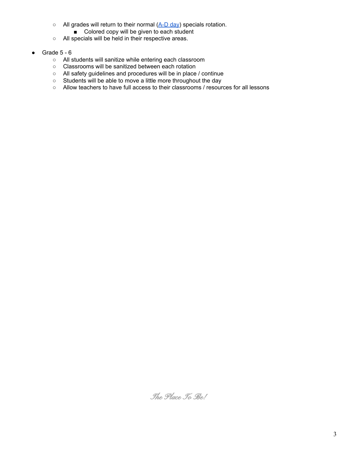- All grades will return to their normal ([A-D](https://docs.google.com/spreadsheets/d/1eaus1ip6JIh3PtSkx0mfjm0mmih3UlQeKXbYbHPXcDg/edit?usp=sharing) day) specials rotation.
	- Colored copy will be given to each student
- All specials will be held in their respective areas.
- Grade 5 6
	- All students will sanitize while entering each classroom
	- Classrooms will be sanitized between each rotation
	- All safety guidelines and procedures will be in place / continue
	- Students will be able to move a little more throughout the day
	- Allow teachers to have full access to their classrooms / resources for all lessons

The Place To Be!